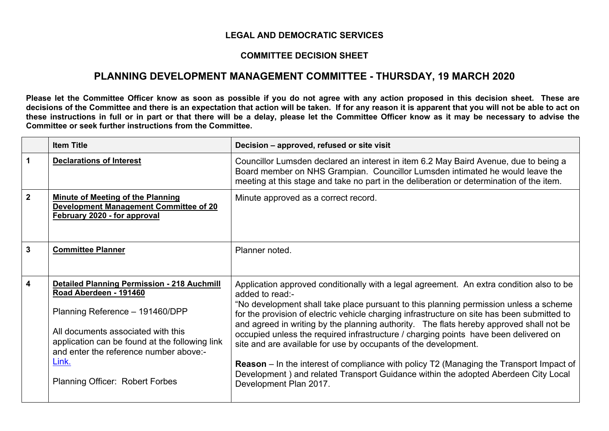## **LEGAL AND DEMOCRATIC SERVICES**

## **COMMITTEE DECISION SHEET**

## **PLANNING DEVELOPMENT MANAGEMENT COMMITTEE - THURSDAY, 19 MARCH 2020**

Please let the Committee Officer know as soon as possible if you do not agree with any action proposed in this decision sheet. These are decisions of the Committee and there is an expectation that action will be taken. If for any reason it is apparent that you will not be able to act on these instructions in full or in part or that there will be a delay, please let the Committee Officer know as it may be necessary to advise the **Committee or seek further instructions from the Committee.**

|                         | <b>Item Title</b>                                                                                                                                                                                                                                                                                    | Decision - approved, refused or site visit                                                                                                                                                                                                                                                                                                                                                                                                                                                                                                                                                                                                                                                                                                                                  |  |
|-------------------------|------------------------------------------------------------------------------------------------------------------------------------------------------------------------------------------------------------------------------------------------------------------------------------------------------|-----------------------------------------------------------------------------------------------------------------------------------------------------------------------------------------------------------------------------------------------------------------------------------------------------------------------------------------------------------------------------------------------------------------------------------------------------------------------------------------------------------------------------------------------------------------------------------------------------------------------------------------------------------------------------------------------------------------------------------------------------------------------------|--|
| 1                       | <b>Declarations of Interest</b>                                                                                                                                                                                                                                                                      | Councillor Lumsden declared an interest in item 6.2 May Baird Avenue, due to being a<br>Board member on NHS Grampian. Councillor Lumsden intimated he would leave the<br>meeting at this stage and take no part in the deliberation or determination of the item.                                                                                                                                                                                                                                                                                                                                                                                                                                                                                                           |  |
| $\overline{2}$          | <b>Minute of Meeting of the Planning</b><br><b>Development Management Committee of 20</b><br>February 2020 - for approval                                                                                                                                                                            | Minute approved as a correct record.                                                                                                                                                                                                                                                                                                                                                                                                                                                                                                                                                                                                                                                                                                                                        |  |
| 3                       | <b>Committee Planner</b>                                                                                                                                                                                                                                                                             | Planner noted.                                                                                                                                                                                                                                                                                                                                                                                                                                                                                                                                                                                                                                                                                                                                                              |  |
| $\overline{\mathbf{4}}$ | <b>Detailed Planning Permission - 218 Auchmill</b><br>Road Aberdeen - 191460<br>Planning Reference - 191460/DPP<br>All documents associated with this<br>application can be found at the following link<br>and enter the reference number above:-<br>Link.<br><b>Planning Officer: Robert Forbes</b> | Application approved conditionally with a legal agreement. An extra condition also to be<br>added to read:-<br>"No development shall take place pursuant to this planning permission unless a scheme<br>for the provision of electric vehicle charging infrastructure on site has been submitted to<br>and agreed in writing by the planning authority. The flats hereby approved shall not be<br>occupied unless the required infrastructure / charging points have been delivered on<br>site and are available for use by occupants of the development.<br><b>Reason</b> – In the interest of compliance with policy T2 (Managing the Transport Impact of<br>Development) and related Transport Guidance within the adopted Aberdeen City Local<br>Development Plan 2017. |  |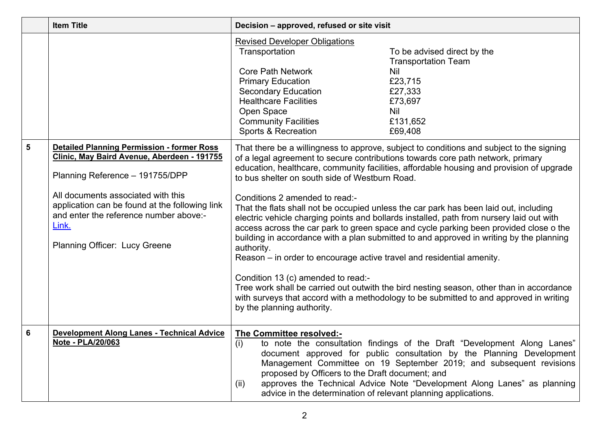|   | <b>Item Title</b>                                                                                                                                                                                                                                                                                               | Decision - approved, refused or site visit                                                                                                                                                                                                                                                                                                                                                                                                                                                                                                                                                                                                                                                                                                                                                                                                                                                                                                                                                                                                                                            |                                                                                                                                                                                                                                                                                                      |
|---|-----------------------------------------------------------------------------------------------------------------------------------------------------------------------------------------------------------------------------------------------------------------------------------------------------------------|---------------------------------------------------------------------------------------------------------------------------------------------------------------------------------------------------------------------------------------------------------------------------------------------------------------------------------------------------------------------------------------------------------------------------------------------------------------------------------------------------------------------------------------------------------------------------------------------------------------------------------------------------------------------------------------------------------------------------------------------------------------------------------------------------------------------------------------------------------------------------------------------------------------------------------------------------------------------------------------------------------------------------------------------------------------------------------------|------------------------------------------------------------------------------------------------------------------------------------------------------------------------------------------------------------------------------------------------------------------------------------------------------|
|   |                                                                                                                                                                                                                                                                                                                 | <b>Revised Developer Obligations</b><br>Transportation<br><b>Core Path Network</b><br><b>Primary Education</b><br><b>Secondary Education</b><br><b>Healthcare Facilities</b><br>Open Space<br><b>Community Facilities</b><br>Sports & Recreation                                                                                                                                                                                                                                                                                                                                                                                                                                                                                                                                                                                                                                                                                                                                                                                                                                      | To be advised direct by the<br><b>Transportation Team</b><br><b>Nil</b><br>£23,715<br>£27,333<br>£73,697<br>Nil<br>£131,652<br>£69,408                                                                                                                                                               |
| 5 | <b>Detailed Planning Permission - former Ross</b><br>Clinic, May Baird Avenue, Aberdeen - 191755<br>Planning Reference - 191755/DPP<br>All documents associated with this<br>application can be found at the following link<br>and enter the reference number above:-<br>Link.<br>Planning Officer: Lucy Greene | That there be a willingness to approve, subject to conditions and subject to the signing<br>of a legal agreement to secure contributions towards core path network, primary<br>education, healthcare, community facilities, affordable housing and provision of upgrade<br>to bus shelter on south side of Westburn Road.<br>Conditions 2 amended to read:-<br>That the flats shall not be occupied unless the car park has been laid out, including<br>electric vehicle charging points and bollards installed, path from nursery laid out with<br>access across the car park to green space and cycle parking been provided close o the<br>building in accordance with a plan submitted to and approved in writing by the planning<br>authority.<br>Reason – in order to encourage active travel and residential amenity.<br>Condition 13 (c) amended to read:-<br>Tree work shall be carried out outwith the bird nesting season, other than in accordance<br>with surveys that accord with a methodology to be submitted to and approved in writing<br>by the planning authority. |                                                                                                                                                                                                                                                                                                      |
| 6 | <b>Development Along Lanes - Technical Advice</b><br>Note - PLA/20/063                                                                                                                                                                                                                                          | The Committee resolved:-<br>(i)<br>proposed by Officers to the Draft document; and<br>(ii)<br>advice in the determination of relevant planning applications.                                                                                                                                                                                                                                                                                                                                                                                                                                                                                                                                                                                                                                                                                                                                                                                                                                                                                                                          | to note the consultation findings of the Draft "Development Along Lanes"<br>document approved for public consultation by the Planning Development<br>Management Committee on 19 September 2019; and subsequent revisions<br>approves the Technical Advice Note "Development Along Lanes" as planning |